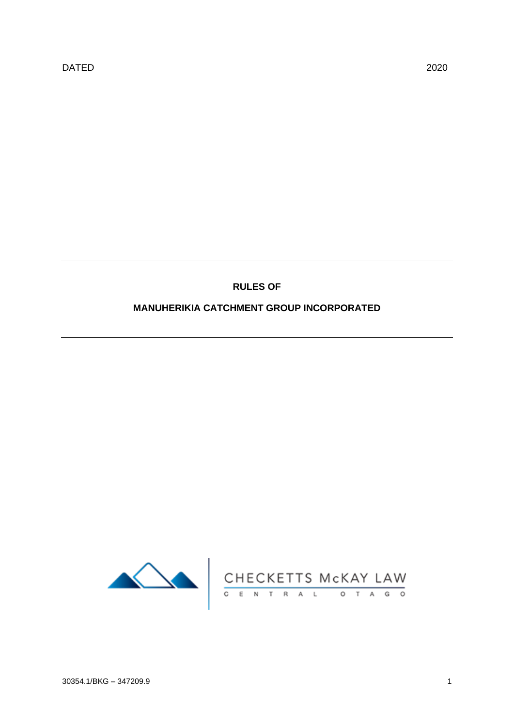# **RULES OF**

# **MANUHERIKIA CATCHMENT GROUP INCORPORATED**

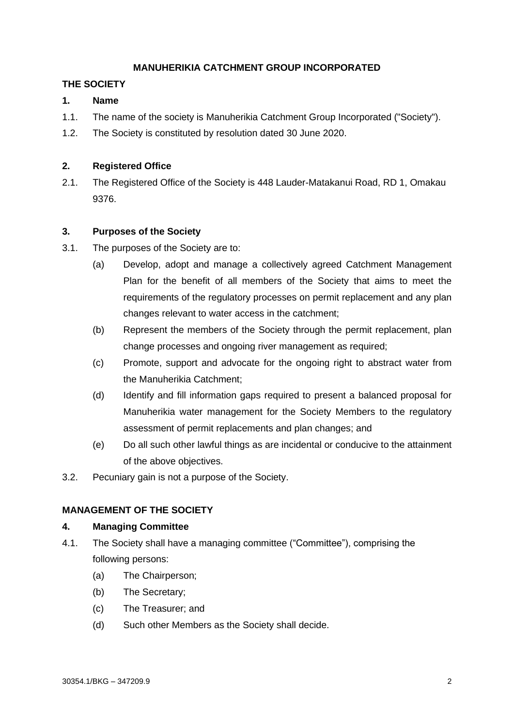## **MANUHERIKIA CATCHMENT GROUP INCORPORATED**

## **THE SOCIETY**

## **1. Name**

- 1.1. The name of the society is Manuherikia Catchment Group Incorporated ("Society").
- 1.2. The Society is constituted by resolution dated 30 June 2020.

## **2. Registered Office**

2.1. The Registered Office of the Society is 448 Lauder-Matakanui Road, RD 1, Omakau 9376.

## **3. Purposes of the Society**

- 3.1. The purposes of the Society are to:
	- (a) Develop, adopt and manage a collectively agreed Catchment Management Plan for the benefit of all members of the Society that aims to meet the requirements of the regulatory processes on permit replacement and any plan changes relevant to water access in the catchment;
	- (b) Represent the members of the Society through the permit replacement, plan change processes and ongoing river management as required;
	- (c) Promote, support and advocate for the ongoing right to abstract water from the Manuherikia Catchment;
	- (d) Identify and fill information gaps required to present a balanced proposal for Manuherikia water management for the Society Members to the regulatory assessment of permit replacements and plan changes; and
	- (e) Do all such other lawful things as are incidental or conducive to the attainment of the above objectives.
- 3.2. Pecuniary gain is not a purpose of the Society.

## **MANAGEMENT OF THE SOCIETY**

## **4. Managing Committee**

- 4.1. The Society shall have a managing committee ("Committee"), comprising the following persons:
	- (a) The Chairperson;
	- (b) The Secretary;
	- (c) The Treasurer; and
	- (d) Such other Members as the Society shall decide.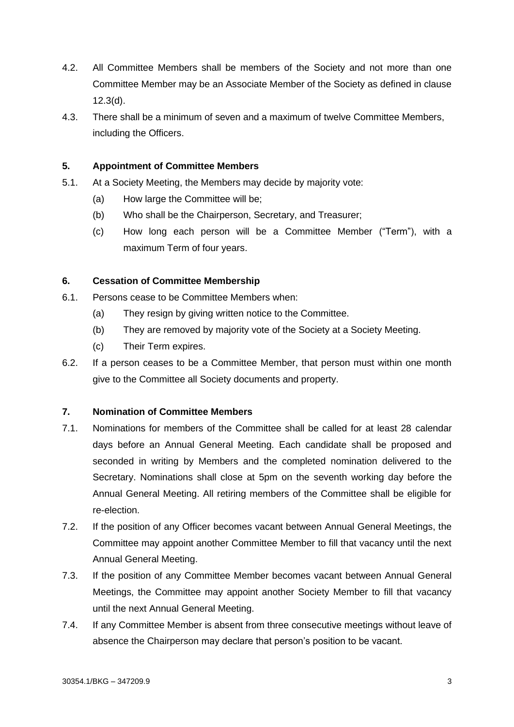- 4.2. All Committee Members shall be members of the Society and not more than one Committee Member may be an Associate Member of the Society as defined in clause [12.3\(d\).](#page-6-0)
- 4.3. There shall be a minimum of seven and a maximum of twelve Committee Members, including the Officers.

## **5. Appointment of Committee Members**

- 5.1. At a Society Meeting, the Members may decide by majority vote:
	- (a) How large the Committee will be;
	- (b) Who shall be the Chairperson, Secretary, and Treasurer;
	- (c) How long each person will be a Committee Member ("Term"), with a maximum Term of four years.

## **6. Cessation of Committee Membership**

- 6.1. Persons cease to be Committee Members when:
	- (a) They resign by giving written notice to the Committee.
	- (b) They are removed by majority vote of the Society at a Society Meeting.
	- (c) Their Term expires.
- 6.2. If a person ceases to be a Committee Member, that person must within one month give to the Committee all Society documents and property.

## **7. Nomination of Committee Members**

- 7.1. Nominations for members of the Committee shall be called for at least 28 calendar days before an Annual General Meeting. Each candidate shall be proposed and seconded in writing by Members and the completed nomination delivered to the Secretary. Nominations shall close at 5pm on the seventh working day before the Annual General Meeting. All retiring members of the Committee shall be eligible for re-election.
- 7.2. If the position of any Officer becomes vacant between Annual General Meetings, the Committee may appoint another Committee Member to fill that vacancy until the next Annual General Meeting.
- 7.3. If the position of any Committee Member becomes vacant between Annual General Meetings, the Committee may appoint another Society Member to fill that vacancy until the next Annual General Meeting.
- 7.4. If any Committee Member is absent from three consecutive meetings without leave of absence the Chairperson may declare that person's position to be vacant.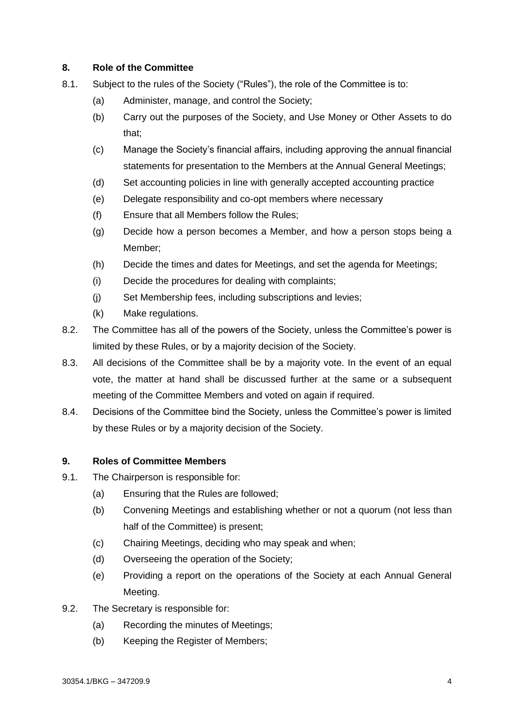## **8. Role of the Committee**

- <span id="page-3-1"></span><span id="page-3-0"></span>8.1. Subject to the rules of the Society ("Rules"), the role of the Committee is to:
	- (a) Administer, manage, and control the Society;
	- (b) Carry out the purposes of the Society, and Use Money or Other Assets to do that;
	- (c) Manage the Society's financial affairs, including approving the annual financial statements for presentation to the Members at the Annual General Meetings;
	- (d) Set accounting policies in line with generally accepted accounting practice
	- (e) Delegate responsibility and co-opt members where necessary
	- (f) Ensure that all Members follow the Rules;
	- (g) Decide how a person becomes a Member, and how a person stops being a Member;
	- (h) Decide the times and dates for Meetings, and set the agenda for Meetings;
	- (i) Decide the procedures for dealing with complaints;
	- (j) Set Membership fees, including subscriptions and levies;
	- (k) Make regulations.
- 8.2. The Committee has all of the powers of the Society, unless the Committee's power is limited by these Rules, or by a majority decision of the Society.
- 8.3. All decisions of the Committee shall be by a majority vote. In the event of an equal vote, the matter at hand shall be discussed further at the same or a subsequent meeting of the Committee Members and voted on again if required.
- 8.4. Decisions of the Committee bind the Society, unless the Committee's power is limited by these Rules or by a majority decision of the Society.

## **9. Roles of Committee Members**

- 9.1. The Chairperson is responsible for:
	- (a) Ensuring that the Rules are followed;
	- (b) Convening Meetings and establishing whether or not a quorum (not less than half of the Committee) is present;
	- (c) Chairing Meetings, deciding who may speak and when;
	- (d) Overseeing the operation of the Society;
	- (e) Providing a report on the operations of the Society at each Annual General Meeting.
- 9.2. The Secretary is responsible for:
	- (a) Recording the minutes of Meetings;
	- (b) Keeping the Register of Members;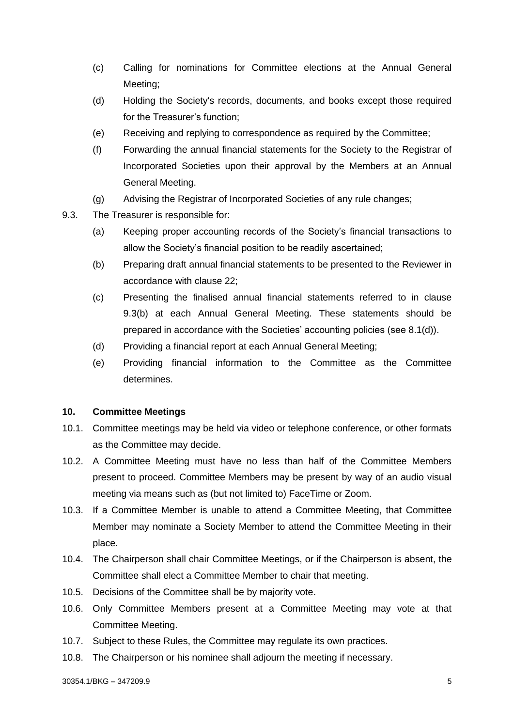- (c) Calling for nominations for Committee elections at the Annual General Meeting;
- (d) Holding the Society's records, documents, and books except those required for the Treasurer's function;
- (e) Receiving and replying to correspondence as required by the Committee;
- (f) Forwarding the annual financial statements for the Society to the Registrar of Incorporated Societies upon their approval by the Members at an Annual General Meeting.
- (g) Advising the Registrar of Incorporated Societies of any rule changes;
- <span id="page-4-1"></span><span id="page-4-0"></span>9.3. The Treasurer is responsible for:
	- (a) Keeping proper accounting records of the Society's financial transactions to allow the Society's financial position to be readily ascertained;
	- (b) Preparing draft annual financial statements to be presented to the Reviewer in accordance with clause [22;](#page-8-0)
	- (c) Presenting the finalised annual financial statements referred to in clause [9.3](#page-4-0)[\(b\)](#page-4-1) at each Annual General Meeting. These statements should be prepared in accordance with the Societies' accounting policies (see [8.1](#page-3-0)[\(d\)\)](#page-3-1).
	- (d) Providing a financial report at each Annual General Meeting;
	- (e) Providing financial information to the Committee as the Committee determines.

## **10. Committee Meetings**

- 10.1. Committee meetings may be held via video or telephone conference, or other formats as the Committee may decide.
- 10.2. A Committee Meeting must have no less than half of the Committee Members present to proceed. Committee Members may be present by way of an audio visual meeting via means such as (but not limited to) FaceTime or Zoom.
- 10.3. If a Committee Member is unable to attend a Committee Meeting, that Committee Member may nominate a Society Member to attend the Committee Meeting in their place.
- 10.4. The Chairperson shall chair Committee Meetings, or if the Chairperson is absent, the Committee shall elect a Committee Member to chair that meeting.
- 10.5. Decisions of the Committee shall be by majority vote.
- 10.6. Only Committee Members present at a Committee Meeting may vote at that Committee Meeting.
- 10.7. Subject to these Rules, the Committee may regulate its own practices.
- 10.8. The Chairperson or his nominee shall adjourn the meeting if necessary.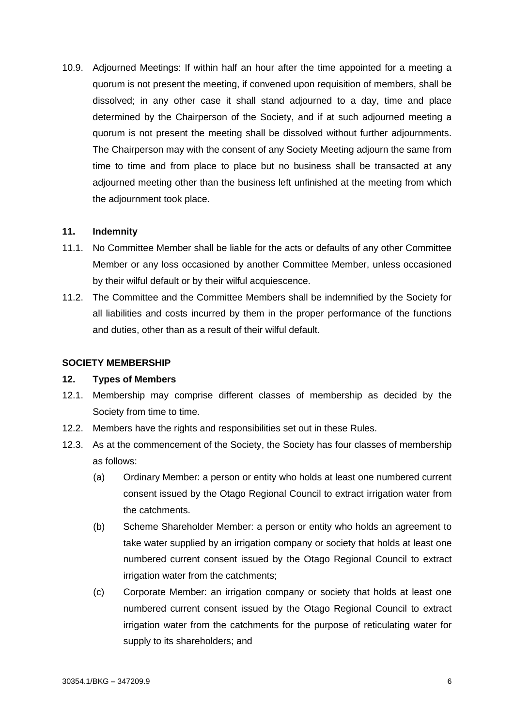10.9. Adjourned Meetings: If within half an hour after the time appointed for a meeting a quorum is not present the meeting, if convened upon requisition of members, shall be dissolved; in any other case it shall stand adjourned to a day, time and place determined by the Chairperson of the Society, and if at such adjourned meeting a quorum is not present the meeting shall be dissolved without further adjournments. The Chairperson may with the consent of any Society Meeting adjourn the same from time to time and from place to place but no business shall be transacted at any adjourned meeting other than the business left unfinished at the meeting from which the adjournment took place.

### **11. Indemnity**

- 11.1. No Committee Member shall be liable for the acts or defaults of any other Committee Member or any loss occasioned by another Committee Member, unless occasioned by their wilful default or by their wilful acquiescence.
- 11.2. The Committee and the Committee Members shall be indemnified by the Society for all liabilities and costs incurred by them in the proper performance of the functions and duties, other than as a result of their wilful default.

#### **SOCIETY MEMBERSHIP**

#### **12. Types of Members**

- 12.1. Membership may comprise different classes of membership as decided by the Society from time to time.
- 12.2. Members have the rights and responsibilities set out in these Rules.
- 12.3. As at the commencement of the Society, the Society has four classes of membership as follows:
	- (a) Ordinary Member: a person or entity who holds at least one numbered current consent issued by the Otago Regional Council to extract irrigation water from the catchments.
	- (b) Scheme Shareholder Member: a person or entity who holds an agreement to take water supplied by an irrigation company or society that holds at least one numbered current consent issued by the Otago Regional Council to extract irrigation water from the catchments;
	- (c) Corporate Member: an irrigation company or society that holds at least one numbered current consent issued by the Otago Regional Council to extract irrigation water from the catchments for the purpose of reticulating water for supply to its shareholders; and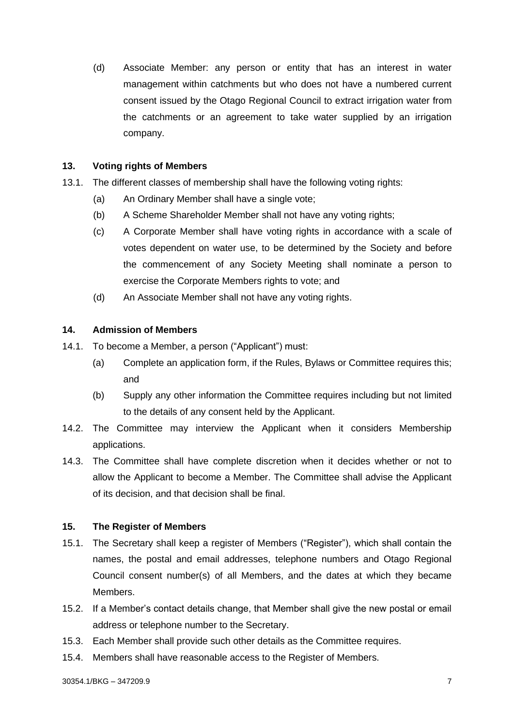<span id="page-6-0"></span>(d) Associate Member: any person or entity that has an interest in water management within catchments but who does not have a numbered current consent issued by the Otago Regional Council to extract irrigation water from the catchments or an agreement to take water supplied by an irrigation company.

### **13. Voting rights of Members**

- 13.1. The different classes of membership shall have the following voting rights:
	- (a) An Ordinary Member shall have a single vote;
	- (b) A Scheme Shareholder Member shall not have any voting rights;
	- (c) A Corporate Member shall have voting rights in accordance with a scale of votes dependent on water use, to be determined by the Society and before the commencement of any Society Meeting shall nominate a person to exercise the Corporate Members rights to vote; and
	- (d) An Associate Member shall not have any voting rights.

## **14. Admission of Members**

- 14.1. To become a Member, a person ("Applicant") must:
	- (a) Complete an application form, if the Rules, Bylaws or Committee requires this; and
	- (b) Supply any other information the Committee requires including but not limited to the details of any consent held by the Applicant.
- 14.2. The Committee may interview the Applicant when it considers Membership applications.
- 14.3. The Committee shall have complete discretion when it decides whether or not to allow the Applicant to become a Member. The Committee shall advise the Applicant of its decision, and that decision shall be final.

## **15. The Register of Members**

- 15.1. The Secretary shall keep a register of Members ("Register"), which shall contain the names, the postal and email addresses, telephone numbers and Otago Regional Council consent number(s) of all Members, and the dates at which they became Members.
- 15.2. If a Member's contact details change, that Member shall give the new postal or email address or telephone number to the Secretary.
- 15.3. Each Member shall provide such other details as the Committee requires.
- 15.4. Members shall have reasonable access to the Register of Members.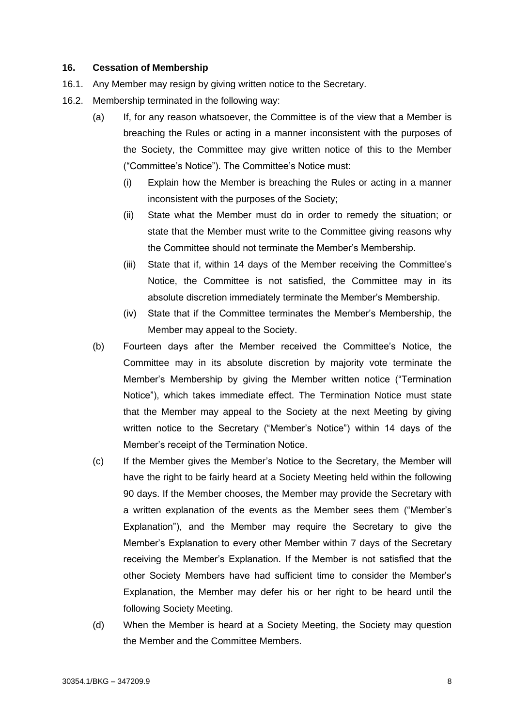## **16. Cessation of Membership**

- 16.1. Any Member may resign by giving written notice to the Secretary.
- 16.2. Membership terminated in the following way:
	- (a) If, for any reason whatsoever, the Committee is of the view that a Member is breaching the Rules or acting in a manner inconsistent with the purposes of the Society, the Committee may give written notice of this to the Member ("Committee's Notice"). The Committee's Notice must:
		- (i) Explain how the Member is breaching the Rules or acting in a manner inconsistent with the purposes of the Society;
		- (ii) State what the Member must do in order to remedy the situation; or state that the Member must write to the Committee giving reasons why the Committee should not terminate the Member's Membership.
		- (iii) State that if, within 14 days of the Member receiving the Committee's Notice, the Committee is not satisfied, the Committee may in its absolute discretion immediately terminate the Member's Membership.
		- (iv) State that if the Committee terminates the Member's Membership, the Member may appeal to the Society.
	- (b) Fourteen days after the Member received the Committee's Notice, the Committee may in its absolute discretion by majority vote terminate the Member's Membership by giving the Member written notice ("Termination Notice"), which takes immediate effect. The Termination Notice must state that the Member may appeal to the Society at the next Meeting by giving written notice to the Secretary ("Member's Notice") within 14 days of the Member's receipt of the Termination Notice.
	- (c) If the Member gives the Member's Notice to the Secretary, the Member will have the right to be fairly heard at a Society Meeting held within the following 90 days. If the Member chooses, the Member may provide the Secretary with a written explanation of the events as the Member sees them ("Member's Explanation"), and the Member may require the Secretary to give the Member's Explanation to every other Member within 7 days of the Secretary receiving the Member's Explanation. If the Member is not satisfied that the other Society Members have had sufficient time to consider the Member's Explanation, the Member may defer his or her right to be heard until the following Society Meeting.
	- (d) When the Member is heard at a Society Meeting, the Society may question the Member and the Committee Members.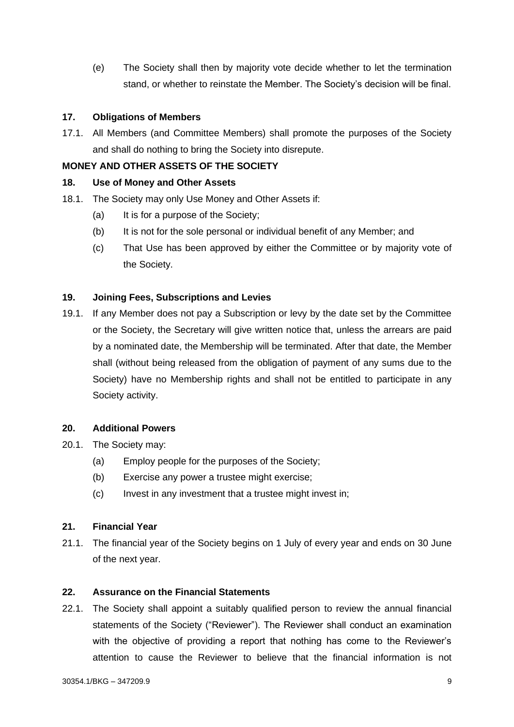(e) The Society shall then by majority vote decide whether to let the termination stand, or whether to reinstate the Member. The Society's decision will be final.

## **17. Obligations of Members**

17.1. All Members (and Committee Members) shall promote the purposes of the Society and shall do nothing to bring the Society into disrepute.

## **MONEY AND OTHER ASSETS OF THE SOCIETY**

## **18. Use of Money and Other Assets**

- 18.1. The Society may only Use Money and Other Assets if:
	- (a) It is for a purpose of the Society;
	- (b) It is not for the sole personal or individual benefit of any Member; and
	- (c) That Use has been approved by either the Committee or by majority vote of the Society.

## **19. Joining Fees, Subscriptions and Levies**

19.1. If any Member does not pay a Subscription or levy by the date set by the Committee or the Society, the Secretary will give written notice that, unless the arrears are paid by a nominated date, the Membership will be terminated. After that date, the Member shall (without being released from the obligation of payment of any sums due to the Society) have no Membership rights and shall not be entitled to participate in any Society activity.

## **20. Additional Powers**

- 20.1. The Society may:
	- (a) Employ people for the purposes of the Society;
	- (b) Exercise any power a trustee might exercise;
	- (c) Invest in any investment that a trustee might invest in;

## **21. Financial Year**

21.1. The financial year of the Society begins on 1 July of every year and ends on 30 June of the next year.

## <span id="page-8-0"></span>**22. Assurance on the Financial Statements**

22.1. The Society shall appoint a suitably qualified person to review the annual financial statements of the Society ("Reviewer"). The Reviewer shall conduct an examination with the objective of providing a report that nothing has come to the Reviewer's attention to cause the Reviewer to believe that the financial information is not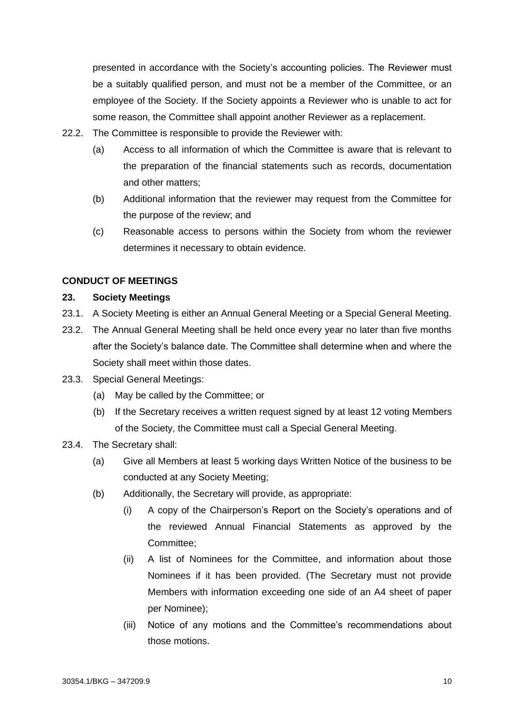presented in accordance with the Society's accounting policies. The Reviewer must be a suitably qualified person, and must not be a member of the Committee, or an employee of the Society. If the Society appoints a Reviewer who is unable to act for some reason, the Committee shall appoint another Reviewer as a replacement.

- 22.2. The Committee is responsible to provide the Reviewer with:
	- (a) Access to all information of which the Committee is aware that is relevant to the preparation of the financial statements such as records, documentation and other matters;
	- (b) Additional information that the reviewer may request from the Committee for the purpose of the review; and
	- (c) Reasonable access to persons within the Society from whom the reviewer determines it necessary to obtain evidence.

# **CONDUCT OF MEETINGS**

## **23. Society Meetings**

- 23.1. A Society Meeting is either an Annual General Meeting or a Special General Meeting.
- 23.2. The Annual General Meeting shall be held once every year no later than five months after the Society's balance date. The Committee shall determine when and where the Society shall meet within those dates.
- 23.3. Special General Meetings:
	- (a) May be called by the Committee; or
	- (b) If the Secretary receives a written request signed by at least 12 voting Members of the Society, the Committee must call a Special General Meeting.
- 23.4. The Secretary shall:
	- (a) Give all Members at least 5 working days Written Notice of the business to be conducted at any Society Meeting;
	- (b) Additionally, the Secretary will provide, as appropriate:
		- (i) A copy of the Chairperson's Report on the Society's operations and of the reviewed Annual Financial Statements as approved by the Committee;
		- (ii) A list of Nominees for the Committee, and information about those Nominees if it has been provided. (The Secretary must not provide Members with information exceeding one side of an A4 sheet of paper per Nominee);
		- (iii) Notice of any motions and the Committee's recommendations about those motions.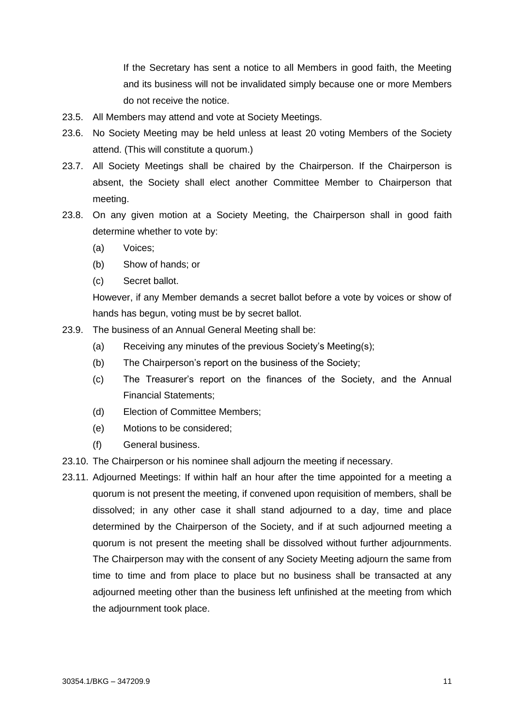If the Secretary has sent a notice to all Members in good faith, the Meeting and its business will not be invalidated simply because one or more Members do not receive the notice.

- 23.5. All Members may attend and vote at Society Meetings.
- 23.6. No Society Meeting may be held unless at least 20 voting Members of the Society attend. (This will constitute a quorum.)
- 23.7. All Society Meetings shall be chaired by the Chairperson. If the Chairperson is absent, the Society shall elect another Committee Member to Chairperson that meeting.
- 23.8. On any given motion at a Society Meeting, the Chairperson shall in good faith determine whether to vote by:
	- (a) Voices;
	- (b) Show of hands; or
	- (c) Secret ballot.

However, if any Member demands a secret ballot before a vote by voices or show of hands has begun, voting must be by secret ballot.

- 23.9. The business of an Annual General Meeting shall be:
	- (a) Receiving any minutes of the previous Society's Meeting(s);
	- (b) The Chairperson's report on the business of the Society;
	- (c) The Treasurer's report on the finances of the Society, and the Annual Financial Statements;
	- (d) Election of Committee Members;
	- (e) Motions to be considered;
	- (f) General business.
- 23.10. The Chairperson or his nominee shall adjourn the meeting if necessary.
- 23.11. Adjourned Meetings: If within half an hour after the time appointed for a meeting a quorum is not present the meeting, if convened upon requisition of members, shall be dissolved; in any other case it shall stand adjourned to a day, time and place determined by the Chairperson of the Society, and if at such adjourned meeting a quorum is not present the meeting shall be dissolved without further adjournments. The Chairperson may with the consent of any Society Meeting adjourn the same from time to time and from place to place but no business shall be transacted at any adjourned meeting other than the business left unfinished at the meeting from which the adjournment took place.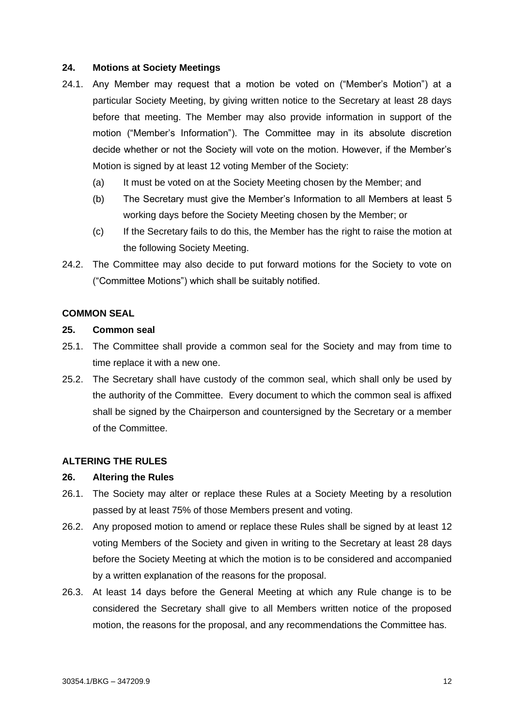#### **24. Motions at Society Meetings**

- 24.1. Any Member may request that a motion be voted on ("Member's Motion") at a particular Society Meeting, by giving written notice to the Secretary at least 28 days before that meeting. The Member may also provide information in support of the motion ("Member's Information"). The Committee may in its absolute discretion decide whether or not the Society will vote on the motion. However, if the Member's Motion is signed by at least 12 voting Member of the Society:
	- (a) It must be voted on at the Society Meeting chosen by the Member; and
	- (b) The Secretary must give the Member's Information to all Members at least 5 working days before the Society Meeting chosen by the Member; or
	- (c) If the Secretary fails to do this, the Member has the right to raise the motion at the following Society Meeting.
- 24.2. The Committee may also decide to put forward motions for the Society to vote on ("Committee Motions") which shall be suitably notified.

### **COMMON SEAL**

### **25. Common seal**

- 25.1. The Committee shall provide a common seal for the Society and may from time to time replace it with a new one.
- 25.2. The Secretary shall have custody of the common seal, which shall only be used by the authority of the Committee. Every document to which the common seal is affixed shall be signed by the Chairperson and countersigned by the Secretary or a member of the Committee.

## **ALTERING THE RULES**

#### **26. Altering the Rules**

- 26.1. The Society may alter or replace these Rules at a Society Meeting by a resolution passed by at least 75% of those Members present and voting.
- 26.2. Any proposed motion to amend or replace these Rules shall be signed by at least 12 voting Members of the Society and given in writing to the Secretary at least 28 days before the Society Meeting at which the motion is to be considered and accompanied by a written explanation of the reasons for the proposal.
- 26.3. At least 14 days before the General Meeting at which any Rule change is to be considered the Secretary shall give to all Members written notice of the proposed motion, the reasons for the proposal, and any recommendations the Committee has.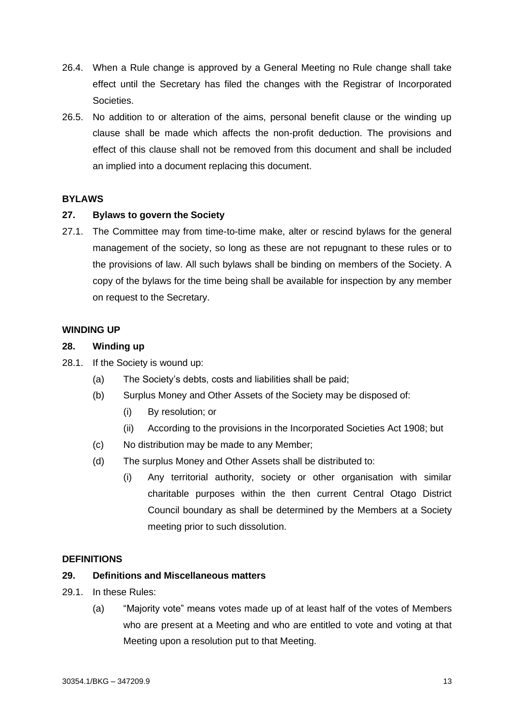- 26.4. When a Rule change is approved by a General Meeting no Rule change shall take effect until the Secretary has filed the changes with the Registrar of Incorporated Societies.
- 26.5. No addition to or alteration of the aims, personal benefit clause or the winding up clause shall be made which affects the non-profit deduction. The provisions and effect of this clause shall not be removed from this document and shall be included an implied into a document replacing this document.

## **BYLAWS**

## **27. Bylaws to govern the Society**

27.1. The Committee may from time-to-time make, alter or rescind bylaws for the general management of the society, so long as these are not repugnant to these rules or to the provisions of law. All such bylaws shall be binding on members of the Society. A copy of the bylaws for the time being shall be available for inspection by any member on request to the Secretary.

### **WINDING UP**

### **28. Winding up**

- 28.1. If the Society is wound up:
	- (a) The Society's debts, costs and liabilities shall be paid;
	- (b) Surplus Money and Other Assets of the Society may be disposed of:
		- (i) By resolution; or
		- (ii) According to the provisions in the Incorporated Societies Act 1908; but
	- (c) No distribution may be made to any Member;
	- (d) The surplus Money and Other Assets shall be distributed to:
		- (i) Any territorial authority, society or other organisation with similar charitable purposes within the then current Central Otago District Council boundary as shall be determined by the Members at a Society meeting prior to such dissolution.

## **DEFINITIONS**

## **29. Definitions and Miscellaneous matters**

- 29.1. In these Rules:
	- (a) "Majority vote" means votes made up of at least half of the votes of Members who are present at a Meeting and who are entitled to vote and voting at that Meeting upon a resolution put to that Meeting.